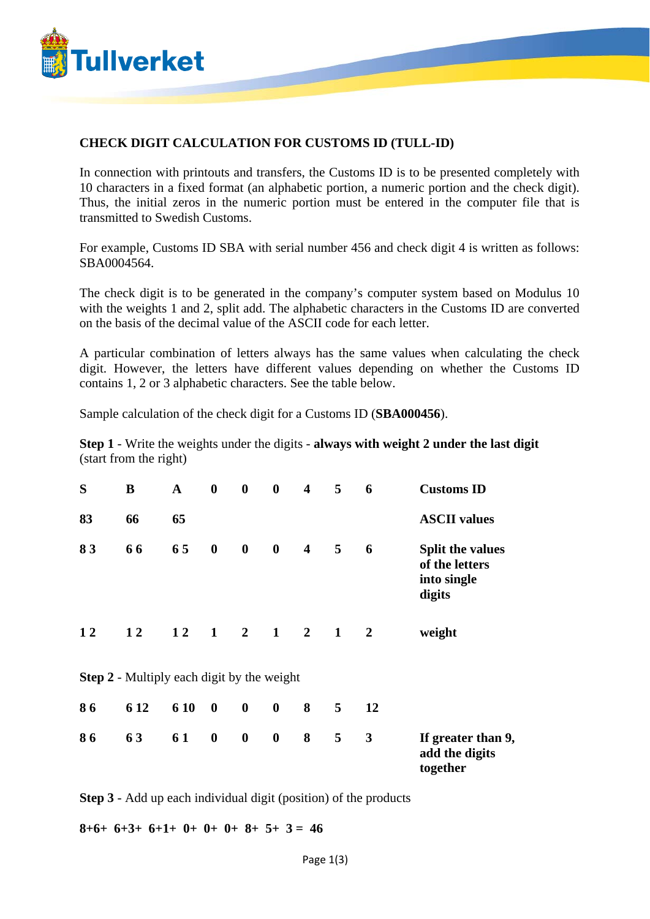

## **CHECK DIGIT CALCULATION FOR CUSTOMS ID (TULL-ID)**

In connection with printouts and transfers, the Customs ID is to be presented completely with 10 characters in a fixed format (an alphabetic portion, a numeric portion and the check digit). Thus, the initial zeros in the numeric portion must be entered in the computer file that is transmitted to Swedish Customs.

For example, Customs ID SBA with serial number 456 and check digit 4 is written as follows: SBA0004564.

The check digit is to be generated in the company's computer system based on Modulus 10 with the weights 1 and 2, split add. The alphabetic characters in the Customs ID are converted on the basis of the decimal value of the ASCII code for each letter.

A particular combination of letters always has the same values when calculating the check digit. However, the letters have different values depending on whether the Customs ID contains 1, 2 or 3 alphabetic characters. See the table below.

Sample calculation of the check digit for a Customs ID (**SBA000456**).

**Step 1** - Write the weights under the digits - **always with weight 2 under the last digit** (start from the right)

| S                                                 | B    | $\mathbf{A}$ | $\boldsymbol{0}$ | $\boldsymbol{0}$            | $\bf{0}$         | $\overline{\mathbf{4}}$ | 5            | 6              | <b>Customs ID</b>                                           |
|---------------------------------------------------|------|--------------|------------------|-----------------------------|------------------|-------------------------|--------------|----------------|-------------------------------------------------------------|
| 83                                                | 66   | 65           |                  |                             |                  |                         |              |                | <b>ASCII</b> values                                         |
| 83                                                | 66   | 65           | $\bf{0}$         | $\boldsymbol{0}$            | $\boldsymbol{0}$ | $\overline{\mathbf{4}}$ | 5            | 6              | Split the values<br>of the letters<br>into single<br>digits |
| 12                                                | 12   | 12           |                  | $1 \quad 2 \quad 1 \quad 2$ |                  |                         | $\mathbf{1}$ | $\overline{2}$ | weight                                                      |
| <b>Step 2</b> - Multiply each digit by the weight |      |              |                  |                             |                  |                         |              |                |                                                             |
| 86                                                | 6 12 | 6 10         | $\boldsymbol{0}$ | $\boldsymbol{0}$            | $\boldsymbol{0}$ | 8                       | 5            | 12             |                                                             |
| 86                                                | 63   | 61           | $\boldsymbol{0}$ | $\boldsymbol{0}$            | $\boldsymbol{0}$ | 8                       | 5            | 3              | If greater than 9,<br>add the digits<br>together            |

**Step 3** - Add up each individual digit (position) of the products

 $8+6+$   $6+3+$   $6+1+$   $0+$   $0+$   $8+$   $5+$   $3=$  46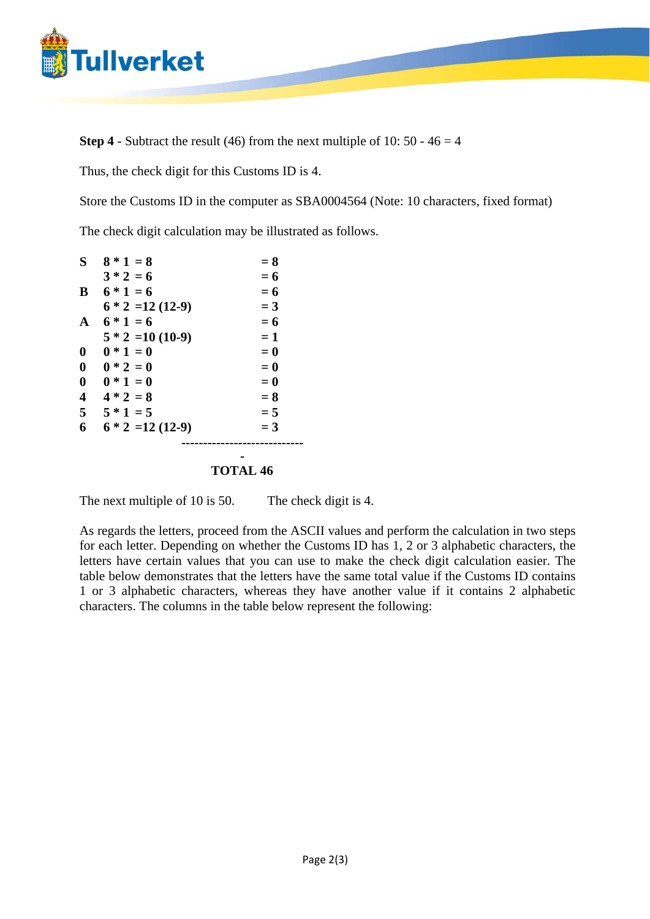

**Step 4** - Subtract the result (46) from the next multiple of 10:  $50 - 46 = 4$ 

Thus, the check digit for this Customs ID is 4.

Store the Customs ID in the computer as SBA0004564 (Note: 10 characters, fixed format)

The check digit calculation may be illustrated as follows.

| S                       | $8 * 1 = 8$        | $= 8$ |
|-------------------------|--------------------|-------|
|                         | $3 * 2 = 6$        | $= 6$ |
| B                       | $6 * 1 = 6$        | $= 6$ |
|                         | $6 * 2 = 12(12-9)$ | $=$ 3 |
| A                       | $6 * 1 = 6$        | $= 6$ |
|                         | $5 * 2 = 10(10-9)$ | $=1$  |
| $\mathbf{0}$            | $0 * 1 = 0$        | $= 0$ |
| $\boldsymbol{0}$        | $0 * 2 = 0$        | $= 0$ |
| $\boldsymbol{0}$        | $0 * 1 = 0$        | $= 0$ |
| $\overline{\mathbf{4}}$ | $4 * 2 = 8$        | $= 8$ |
| 5                       | $5 * 1 = 5$        | $= 5$ |
| 6                       | $6 * 2 = 12(12-9)$ | $=$ 3 |
|                         |                    |       |
|                         |                    |       |

## **TOTAL 46**

The next multiple of 10 is 50. The check digit is 4.

As regards the letters, proceed from the ASCII values and perform the calculation in two steps for each letter. Depending on whether the Customs ID has 1, 2 or 3 alphabetic characters, the letters have certain values that you can use to make the check digit calculation easier. The table below demonstrates that the letters have the same total value if the Customs ID contains 1 or 3 alphabetic characters, whereas they have another value if it contains 2 alphabetic characters. The columns in the table below represent the following: